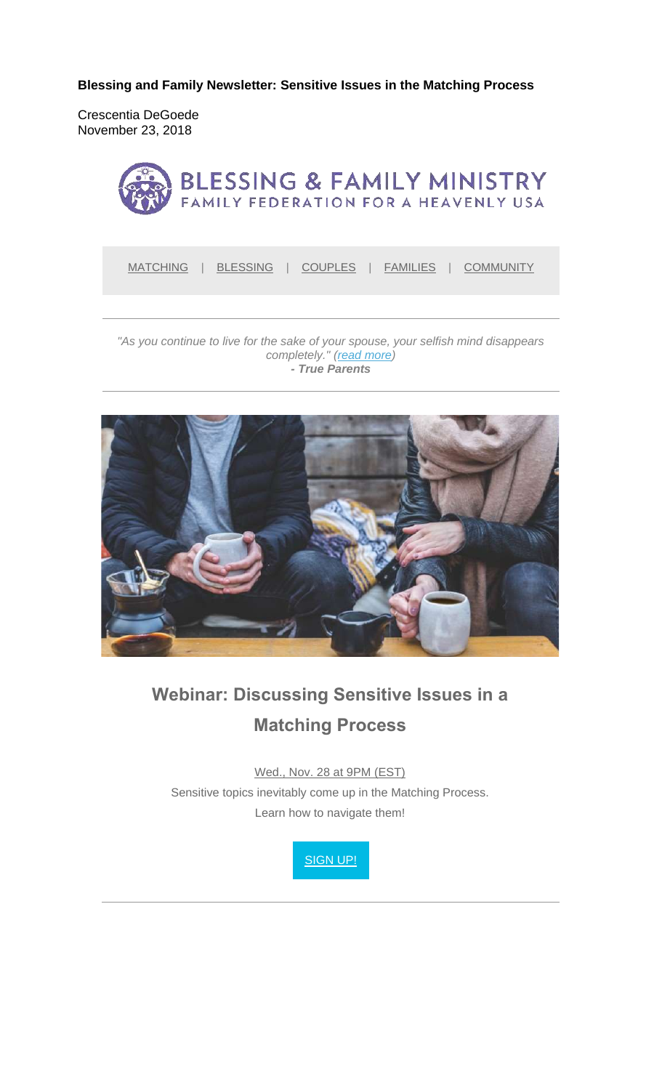**Blessing and Family Newsletter: Sensitive Issues in the Matching Process** 

Crescentia DeGoede November 23, 2018



MATCHING | BLESSING | COUPLES | FAMILIES | COMMUNITY

#### *"As you continue to live for the sake of your spouse, your selfish mind disappears completely." (read more) - True Parents*



# **Webinar: Discussing Sensitive Issues in a Matching Process**

Wed., Nov. 28 at 9PM (EST)

Sensitive topics inevitably come up in the Matching Process. Learn how to navigate them!

SIGN UP!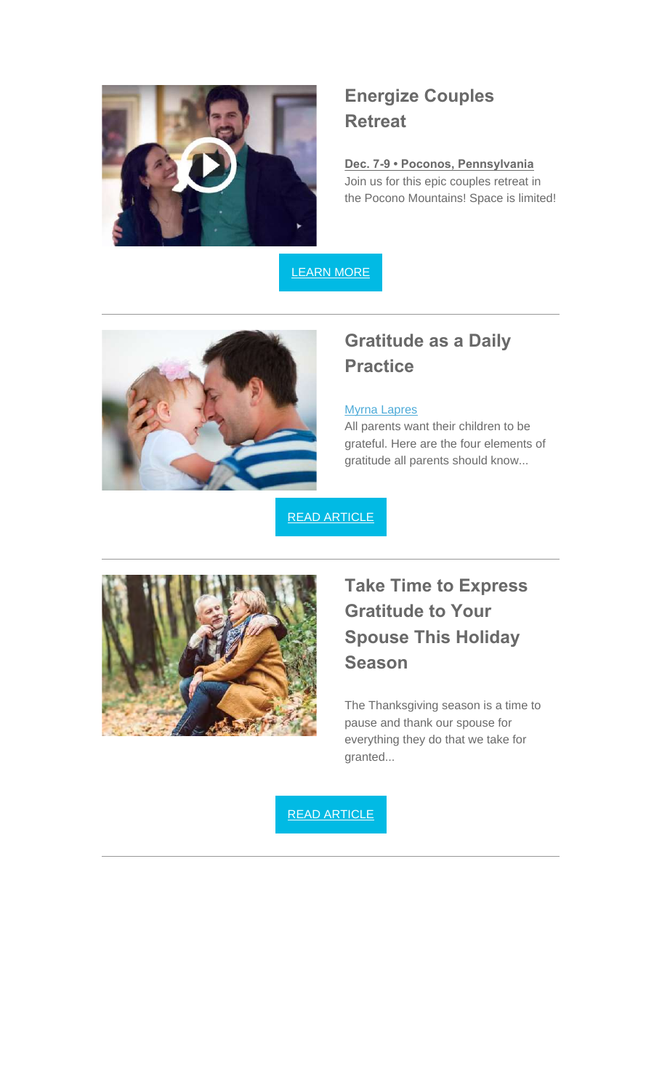

# **Energize Couples Retreat**

**Dec. 7-9 • Poconos, Pennsylvania** Join us for this epic couples retreat in the Pocono Mountains! Space is limited!

LEARN MORE

![](_page_1_Picture_4.jpeg)

### **Gratitude as a Daily Practice**

#### Myrna Lapres

All parents want their children to be grateful. Here are the four elements of gratitude all parents should know...

READ ARTICLE

![](_page_1_Picture_9.jpeg)

# **Take Time to Express Gratitude to Your Spouse This Holiday Season**

The Thanksgiving season is a time to pause and thank our spouse for everything they do that we take for granted...

READ ARTICLE